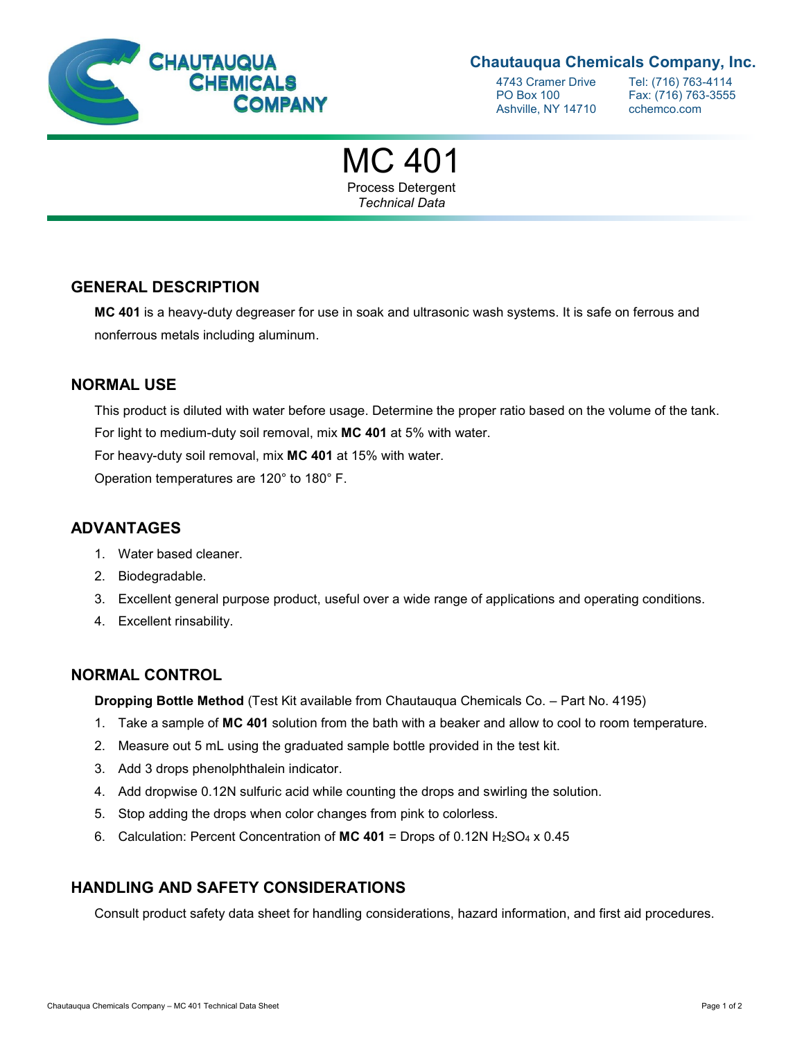

# **Chautauqua Chemicals Company, Inc.**

Ashville, NY 14710 cchemco.com

4743 Cramer Drive Tel: (716) 763-4114<br>PO Box 100 Fax: (716) 763-3555 Fax: (716) 763-3555

MC 401 Process Detergent *Technical Data*

# **GENERAL DESCRIPTION**

**MC 401** is a heavy-duty degreaser for use in soak and ultrasonic wash systems. It is safe on ferrous and nonferrous metals including aluminum.

### **NORMAL USE**

This product is diluted with water before usage. Determine the proper ratio based on the volume of the tank. For light to medium-duty soil removal, mix **MC 401** at 5% with water.

For heavy-duty soil removal, mix **MC 401** at 15% with water.

Operation temperatures are 120° to 180° F.

### **ADVANTAGES**

- 1. Water based cleaner.
- 2. Biodegradable.
- 3. Excellent general purpose product, useful over a wide range of applications and operating conditions.
- 4. Excellent rinsability.

### **NORMAL CONTROL**

**Dropping Bottle Method** (Test Kit available from Chautauqua Chemicals Co. – Part No. 4195)

- 1. Take a sample of **MC 401** solution from the bath with a beaker and allow to cool to room temperature.
- 2. Measure out 5 mL using the graduated sample bottle provided in the test kit.
- 3. Add 3 drops phenolphthalein indicator.
- 4. Add dropwise 0.12N sulfuric acid while counting the drops and swirling the solution.
- 5. Stop adding the drops when color changes from pink to colorless.
- 6. Calculation: Percent Concentration of **MC 401** = Drops of 0.12N H2SO<sup>4</sup> x 0.45

# **HANDLING AND SAFETY CONSIDERATIONS**

Consult product safety data sheet for handling considerations, hazard information, and first aid procedures.